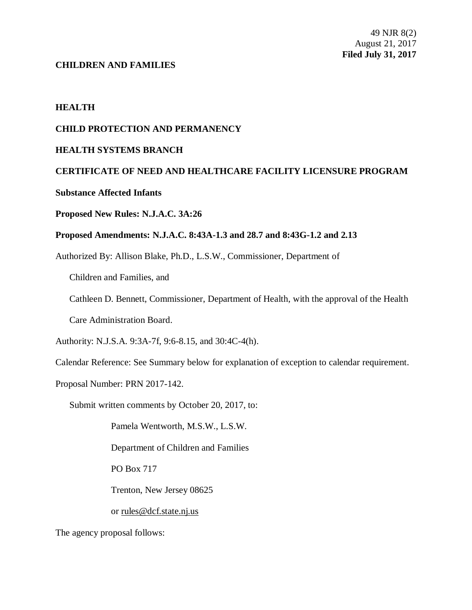## **CHILDREN AND FAMILIES**

# **HEALTH**

# **CHILD PROTECTION AND PERMANENCY**

# **HEALTH SYSTEMS BRANCH**

# **CERTIFICATE OF NEED AND HEALTHCARE FACILITY LICENSURE PROGRAM**

# **Substance Affected Infants**

## **Proposed New Rules: N.J.A.C. 3A:26**

# **Proposed Amendments: N.J.A.C. 8:43A-1.3 and 28.7 and 8:43G-1.2 and 2.13**

Authorized By: Allison Blake, Ph.D., L.S.W., Commissioner, Department of

Children and Families, and

Cathleen D. Bennett, Commissioner, Department of Health, with the approval of the Health

Care Administration Board.

Authority: N.J.S.A. 9:3A-7f, 9:6-8.15, and 30:4C-4(h).

Calendar Reference: See Summary below for explanation of exception to calendar requirement.

Proposal Number: PRN 2017-142.

Submit written comments by October 20, 2017, to:

Pamela Wentworth, M.S.W., L.S.W.

Department of Children and Families

PO Box 717

Trenton, New Jersey 08625

or rules@dcf.state.nj.us

The agency proposal follows: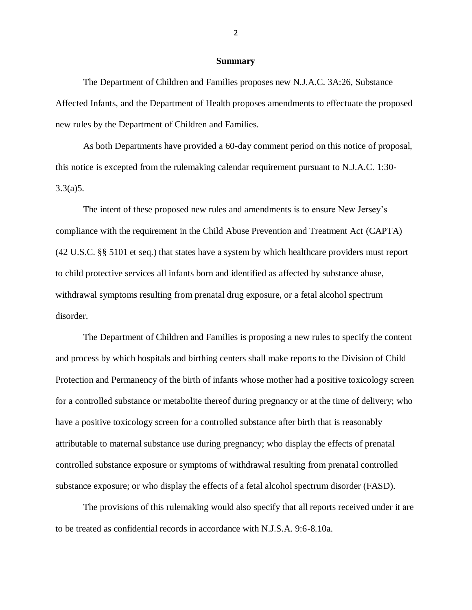#### **Summary**

The Department of Children and Families proposes new N.J.A.C. 3A:26, Substance Affected Infants, and the Department of Health proposes amendments to effectuate the proposed new rules by the Department of Children and Families.

As both Departments have provided a 60-day comment period on this notice of proposal, this notice is excepted from the rulemaking calendar requirement pursuant to N.J.A.C. 1:30- 3.3(a)5.

The intent of these proposed new rules and amendments is to ensure New Jersey's compliance with the requirement in the Child Abuse Prevention and Treatment Act (CAPTA) (42 U.S.C. §§ 5101 et seq.) that states have a system by which healthcare providers must report to child protective services all infants born and identified as affected by substance abuse, withdrawal symptoms resulting from prenatal drug exposure, or a fetal alcohol spectrum disorder.

The Department of Children and Families is proposing a new rules to specify the content and process by which hospitals and birthing centers shall make reports to the Division of Child Protection and Permanency of the birth of infants whose mother had a positive toxicology screen for a controlled substance or metabolite thereof during pregnancy or at the time of delivery; who have a positive toxicology screen for a controlled substance after birth that is reasonably attributable to maternal substance use during pregnancy; who display the effects of prenatal controlled substance exposure or symptoms of withdrawal resulting from prenatal controlled substance exposure; or who display the effects of a fetal alcohol spectrum disorder (FASD).

The provisions of this rulemaking would also specify that all reports received under it are to be treated as confidential records in accordance with N.J.S.A. 9:6-8.10a.

2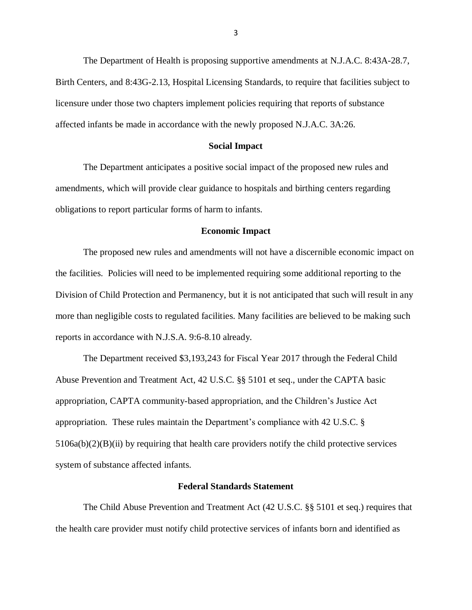The Department of Health is proposing supportive amendments at N.J.A.C. 8:43A-28.7, Birth Centers, and 8:43G-2.13, Hospital Licensing Standards, to require that facilities subject to licensure under those two chapters implement policies requiring that reports of substance affected infants be made in accordance with the newly proposed N.J.A.C. 3A:26.

## **Social Impact**

The Department anticipates a positive social impact of the proposed new rules and amendments, which will provide clear guidance to hospitals and birthing centers regarding obligations to report particular forms of harm to infants.

#### **Economic Impact**

The proposed new rules and amendments will not have a discernible economic impact on the facilities. Policies will need to be implemented requiring some additional reporting to the Division of Child Protection and Permanency, but it is not anticipated that such will result in any more than negligible costs to regulated facilities. Many facilities are believed to be making such reports in accordance with N.J.S.A. 9:6-8.10 already.

The Department received \$3,193,243 for Fiscal Year 2017 through the Federal Child Abuse Prevention and Treatment Act, 42 U.S.C. §§ 5101 et seq., under the CAPTA basic appropriation, CAPTA community-based appropriation, and the Children's Justice Act appropriation. These rules maintain the Department's compliance with 42 U.S.C. §  $5106a(b)(2)(B)(ii)$  by requiring that health care providers notify the child protective services system of substance affected infants.

#### **Federal Standards Statement**

The Child Abuse Prevention and Treatment Act (42 U.S.C. §§ 5101 et seq.) requires that the health care provider must notify child protective services of infants born and identified as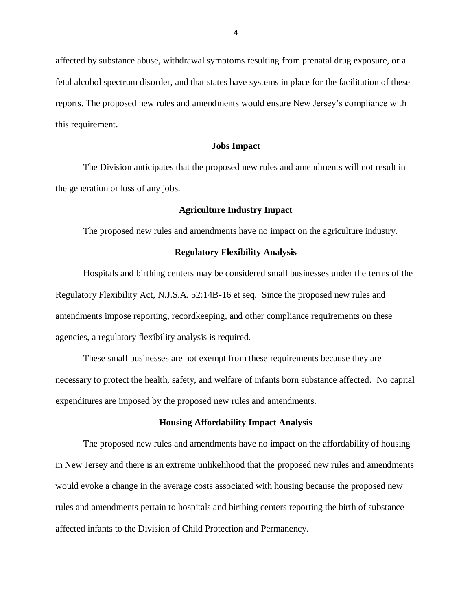affected by substance abuse, withdrawal symptoms resulting from prenatal drug exposure, or a fetal alcohol spectrum disorder, and that states have systems in place for the facilitation of these reports. The proposed new rules and amendments would ensure New Jersey's compliance with this requirement.

#### **Jobs Impact**

The Division anticipates that the proposed new rules and amendments will not result in the generation or loss of any jobs.

#### **Agriculture Industry Impact**

The proposed new rules and amendments have no impact on the agriculture industry.

#### **Regulatory Flexibility Analysis**

Hospitals and birthing centers may be considered small businesses under the terms of the Regulatory Flexibility Act, N.J.S.A. 52:14B-16 et seq. Since the proposed new rules and amendments impose reporting, recordkeeping, and other compliance requirements on these agencies, a regulatory flexibility analysis is required.

These small businesses are not exempt from these requirements because they are necessary to protect the health, safety, and welfare of infants born substance affected. No capital expenditures are imposed by the proposed new rules and amendments.

#### **Housing Affordability Impact Analysis**

The proposed new rules and amendments have no impact on the affordability of housing in New Jersey and there is an extreme unlikelihood that the proposed new rules and amendments would evoke a change in the average costs associated with housing because the proposed new rules and amendments pertain to hospitals and birthing centers reporting the birth of substance affected infants to the Division of Child Protection and Permanency.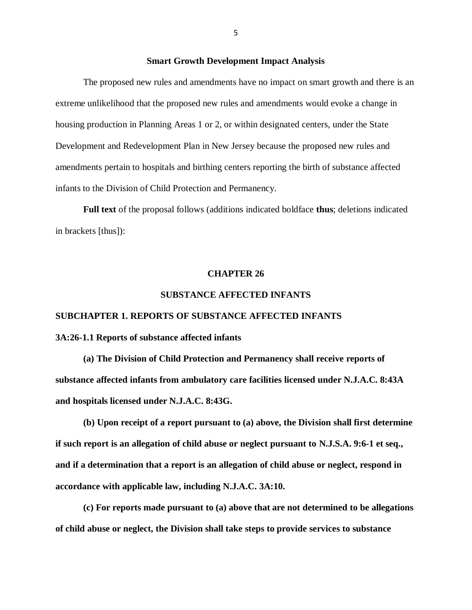#### **Smart Growth Development Impact Analysis**

The proposed new rules and amendments have no impact on smart growth and there is an extreme unlikelihood that the proposed new rules and amendments would evoke a change in housing production in Planning Areas 1 or 2, or within designated centers, under the State Development and Redevelopment Plan in New Jersey because the proposed new rules and amendments pertain to hospitals and birthing centers reporting the birth of substance affected infants to the Division of Child Protection and Permanency.

**Full text** of the proposal follows (additions indicated boldface **thus**; deletions indicated in brackets [thus]):

#### **CHAPTER 26**

#### **SUBSTANCE AFFECTED INFANTS**

# **SUBCHAPTER 1. REPORTS OF SUBSTANCE AFFECTED INFANTS**

# **3A:26-1.1 Reports of substance affected infants**

**(a) The Division of Child Protection and Permanency shall receive reports of substance affected infants from ambulatory care facilities licensed under N.J.A.C. 8:43A and hospitals licensed under N.J.A.C. 8:43G.** 

**(b) Upon receipt of a report pursuant to (a) above, the Division shall first determine if such report is an allegation of child abuse or neglect pursuant to N.J.S.A. 9:6-1 et seq., and if a determination that a report is an allegation of child abuse or neglect, respond in accordance with applicable law, including N.J.A.C. 3A:10.** 

**(c) For reports made pursuant to (a) above that are not determined to be allegations of child abuse or neglect, the Division shall take steps to provide services to substance**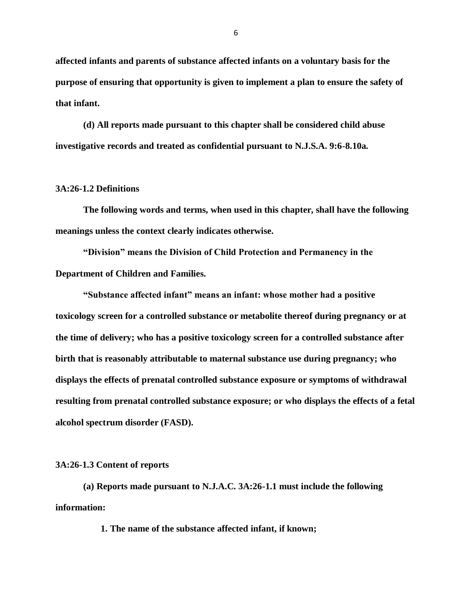**affected infants and parents of substance affected infants on a voluntary basis for the purpose of ensuring that opportunity is given to implement a plan to ensure the safety of that infant.**

**(d) All reports made pursuant to this chapter shall be considered child abuse investigative records and treated as confidential pursuant to N.J.S.A. 9:6-8.10a.** 

## **3A:26-1.2 Definitions**

**The following words and terms, when used in this chapter, shall have the following meanings unless the context clearly indicates otherwise.**

**"Division" means the Division of Child Protection and Permanency in the Department of Children and Families.**

**"Substance affected infant" means an infant: whose mother had a positive toxicology screen for a controlled substance or metabolite thereof during pregnancy or at the time of delivery; who has a positive toxicology screen for a controlled substance after birth that is reasonably attributable to maternal substance use during pregnancy; who displays the effects of prenatal controlled substance exposure or symptoms of withdrawal resulting from prenatal controlled substance exposure; or who displays the effects of a fetal alcohol spectrum disorder (FASD).**

#### **3A:26-1.3 Content of reports**

**(a) Reports made pursuant to N.J.A.C. 3A:26-1.1 must include the following information:**

**1. The name of the substance affected infant, if known;**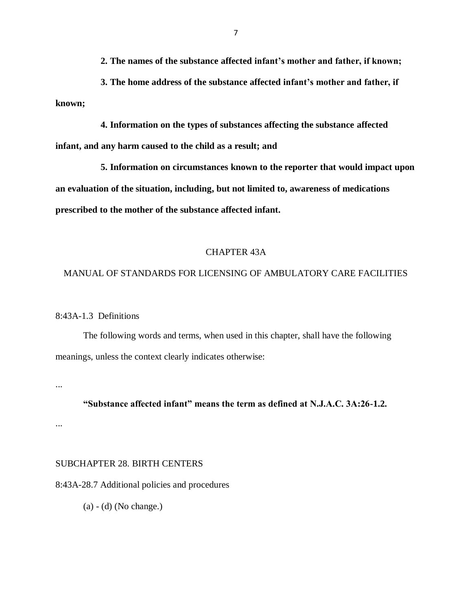**2. The names of the substance affected infant's mother and father, if known;**

**3. The home address of the substance affected infant's mother and father, if known;**

**4. Information on the types of substances affecting the substance affected infant, and any harm caused to the child as a result; and**

**5. Information on circumstances known to the reporter that would impact upon an evaluation of the situation, including, but not limited to, awareness of medications prescribed to the mother of the substance affected infant.**

## CHAPTER 43A

## MANUAL OF STANDARDS FOR LICENSING OF AMBULATORY CARE FACILITIES

8:43A-1.3 Definitions

The following words and terms, when used in this chapter, shall have the following meanings, unless the context clearly indicates otherwise:

...

## **"Substance affected infant" means the term as defined at N.J.A.C. 3A:26-1.2.**

...

# SUBCHAPTER 28. BIRTH CENTERS

8:43A-28.7 Additional policies and procedures

(a) - (d) (No change.)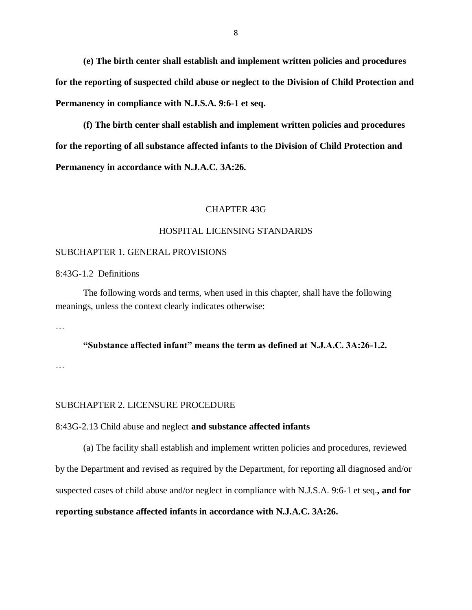**(e) The birth center shall establish and implement written policies and procedures for the reporting of suspected child abuse or neglect to the Division of Child Protection and Permanency in compliance with N.J.S.A. 9:6-1 et seq.**

**(f) The birth center shall establish and implement written policies and procedures for the reporting of all substance affected infants to the Division of Child Protection and Permanency in accordance with N.J.A.C. 3A:26.** 

#### CHAPTER 43G

## HOSPITAL LICENSING STANDARDS

#### SUBCHAPTER 1. GENERAL PROVISIONS

8:43G-1.2 Definitions

The following words and terms, when used in this chapter, shall have the following meanings, unless the context clearly indicates otherwise:

…

# **"Substance affected infant" means the term as defined at N.J.A.C. 3A:26-1.2.**

…

## SUBCHAPTER 2. LICENSURE PROCEDURE

## 8:43G-2.13 Child abuse and neglect **and substance affected infants**

(a) The facility shall establish and implement written policies and procedures, reviewed by the Department and revised as required by the Department, for reporting all diagnosed and/or suspected cases of child abuse and/or neglect in compliance with N.J.S.A. 9:6-1 et seq.**, and for reporting substance affected infants in accordance with N.J.A.C. 3A:26.**